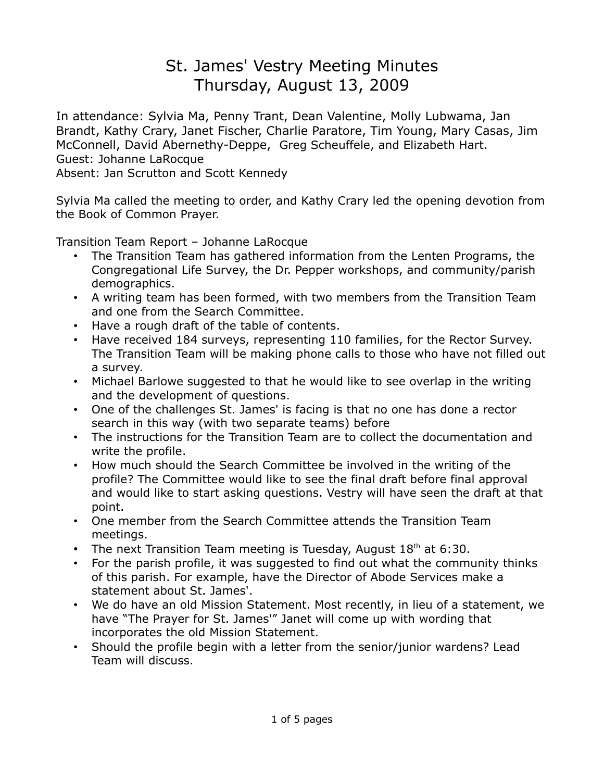## St. James' Vestry Meeting Minutes Thursday, August 13, 2009

In attendance: Sylvia Ma, Penny Trant, Dean Valentine, Molly Lubwama, Jan Brandt, Kathy Crary, Janet Fischer, Charlie Paratore, Tim Young, Mary Casas, Jim McConnell, David Abernethy-Deppe, Greg Scheuffele, and Elizabeth Hart. Guest: Johanne LaRocque

Absent: Jan Scrutton and Scott Kennedy

Sylvia Ma called the meeting to order, and Kathy Crary led the opening devotion from the Book of Common Prayer.

Transition Team Report – Johanne LaRocque

- The Transition Team has gathered information from the Lenten Programs, the Congregational Life Survey, the Dr. Pepper workshops, and community/parish demographics.
- A writing team has been formed, with two members from the Transition Team and one from the Search Committee.
- Have a rough draft of the table of contents.
- Have received 184 surveys, representing 110 families, for the Rector Survey. The Transition Team will be making phone calls to those who have not filled out a survey.
- Michael Barlowe suggested to that he would like to see overlap in the writing and the development of questions.
- One of the challenges St. James' is facing is that no one has done a rector search in this way (with two separate teams) before
- The instructions for the Transition Team are to collect the documentation and write the profile.
- How much should the Search Committee be involved in the writing of the profile? The Committee would like to see the final draft before final approval and would like to start asking questions. Vestry will have seen the draft at that point.
- One member from the Search Committee attends the Transition Team meetings.
- The next Transition Team meeting is Tuesday, August  $18<sup>th</sup>$  at 6:30.
- For the parish profile, it was suggested to find out what the community thinks of this parish. For example, have the Director of Abode Services make a statement about St. James'.
- We do have an old Mission Statement. Most recently, in lieu of a statement, we have "The Prayer for St. James'" Janet will come up with wording that incorporates the old Mission Statement.
- Should the profile begin with a letter from the senior/junior wardens? Lead Team will discuss.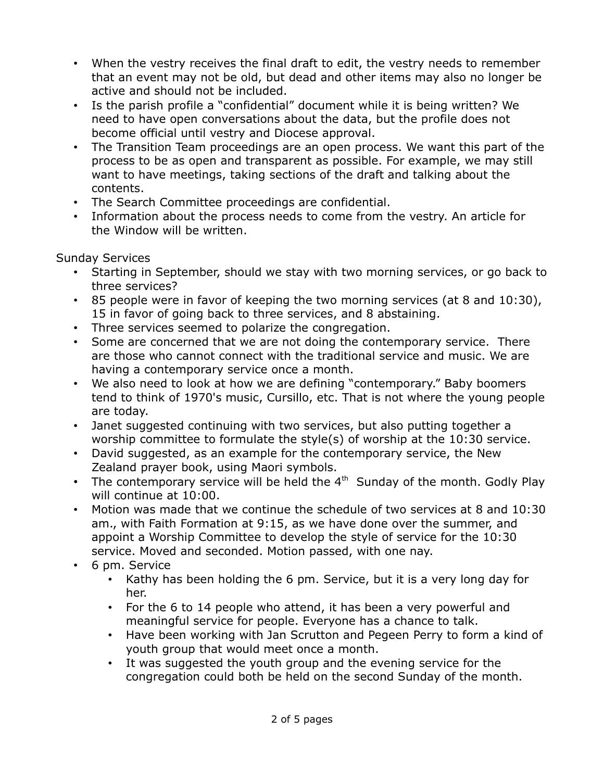- When the vestry receives the final draft to edit, the vestry needs to remember that an event may not be old, but dead and other items may also no longer be active and should not be included.
- Is the parish profile a "confidential" document while it is being written? We need to have open conversations about the data, but the profile does not become official until vestry and Diocese approval.
- The Transition Team proceedings are an open process. We want this part of the process to be as open and transparent as possible. For example, we may still want to have meetings, taking sections of the draft and talking about the contents.
- The Search Committee proceedings are confidential.
- Information about the process needs to come from the vestry. An article for the Window will be written.

Sunday Services

- Starting in September, should we stay with two morning services, or go back to three services?
- 85 people were in favor of keeping the two morning services (at 8 and 10:30), 15 in favor of going back to three services, and 8 abstaining.
- Three services seemed to polarize the congregation.
- Some are concerned that we are not doing the contemporary service. There are those who cannot connect with the traditional service and music. We are having a contemporary service once a month.
- We also need to look at how we are defining "contemporary." Baby boomers tend to think of 1970's music, Cursillo, etc. That is not where the young people are today.
- Janet suggested continuing with two services, but also putting together a worship committee to formulate the style(s) of worship at the 10:30 service.
- David suggested, as an example for the contemporary service, the New Zealand prayer book, using Maori symbols.
- The contemporary service will be held the  $4<sup>th</sup>$  Sunday of the month. Godly Play will continue at 10:00.
- Motion was made that we continue the schedule of two services at 8 and 10:30 am., with Faith Formation at 9:15, as we have done over the summer, and appoint a Worship Committee to develop the style of service for the 10:30 service. Moved and seconded. Motion passed, with one nay.
- 6 pm. Service
	- Kathy has been holding the 6 pm. Service, but it is a very long day for her.
	- For the 6 to 14 people who attend, it has been a very powerful and meaningful service for people. Everyone has a chance to talk.
	- Have been working with Jan Scrutton and Pegeen Perry to form a kind of youth group that would meet once a month.
	- It was suggested the youth group and the evening service for the congregation could both be held on the second Sunday of the month.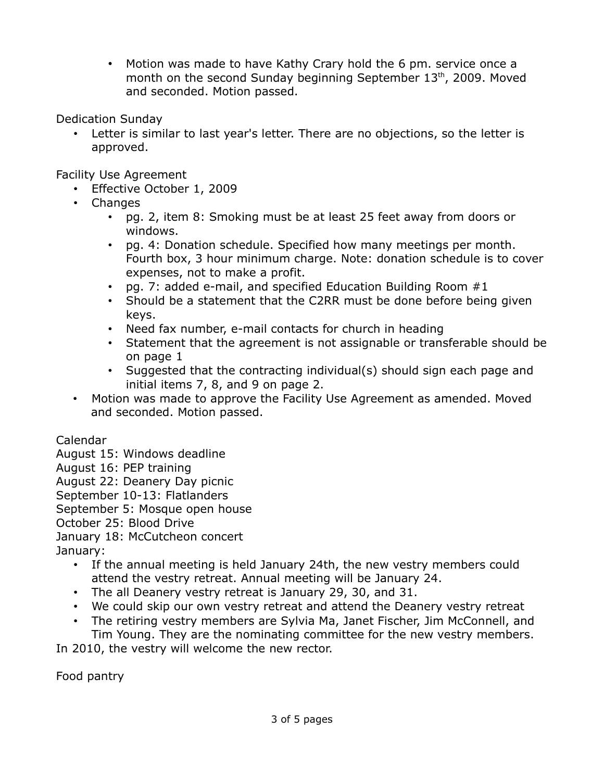• Motion was made to have Kathy Crary hold the 6 pm. service once a month on the second Sunday beginning September 13<sup>th</sup>, 2009. Moved and seconded. Motion passed.

Dedication Sunday

Letter is similar to last year's letter. There are no objections, so the letter is approved.

Facility Use Agreement

- Effective October 1, 2009
- Changes
	- pg. 2, item 8: Smoking must be at least 25 feet away from doors or windows.
	- pg. 4: Donation schedule. Specified how many meetings per month. Fourth box, 3 hour minimum charge. Note: donation schedule is to cover expenses, not to make a profit.
	- pg. 7: added e-mail, and specified Education Building Room  $#1$
	- Should be a statement that the C2RR must be done before being given keys.
	- Need fax number, e-mail contacts for church in heading
	- Statement that the agreement is not assignable or transferable should be on page 1
	- Suggested that the contracting individual(s) should sign each page and initial items 7, 8, and 9 on page 2.
- Motion was made to approve the Facility Use Agreement as amended. Moved and seconded. Motion passed.

Calendar

- August 15: Windows deadline
- August 16: PEP training
- August 22: Deanery Day picnic
- September 10-13: Flatlanders
- September 5: Mosque open house
- October 25: Blood Drive
- January 18: McCutcheon concert

January:

- If the annual meeting is held January 24th, the new vestry members could attend the vestry retreat. Annual meeting will be January 24.
- The all Deanery vestry retreat is January 29, 30, and 31.
- We could skip our own vestry retreat and attend the Deanery vestry retreat
- The retiring vestry members are Sylvia Ma, Janet Fischer, Jim McConnell, and Tim Young. They are the nominating committee for the new vestry members.

In 2010, the vestry will welcome the new rector.

Food pantry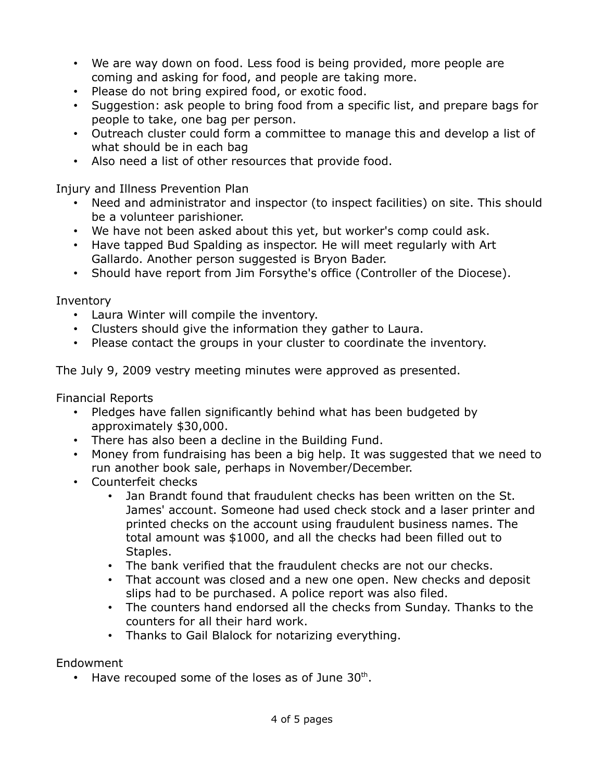- We are way down on food. Less food is being provided, more people are coming and asking for food, and people are taking more.
- Please do not bring expired food, or exotic food.
- Suggestion: ask people to bring food from a specific list, and prepare bags for people to take, one bag per person.
- Outreach cluster could form a committee to manage this and develop a list of what should be in each bag
- Also need a list of other resources that provide food.

Injury and Illness Prevention Plan

- Need and administrator and inspector (to inspect facilities) on site. This should be a volunteer parishioner.
- We have not been asked about this yet, but worker's comp could ask.
- Have tapped Bud Spalding as inspector. He will meet regularly with Art Gallardo. Another person suggested is Bryon Bader.
- Should have report from Jim Forsythe's office (Controller of the Diocese).

Inventory

- Laura Winter will compile the inventory.
- Clusters should give the information they gather to Laura.
- Please contact the groups in your cluster to coordinate the inventory.

The July 9, 2009 vestry meeting minutes were approved as presented.

Financial Reports

- Pledges have fallen significantly behind what has been budgeted by approximately \$30,000.
- There has also been a decline in the Building Fund.
- Money from fundraising has been a big help. It was suggested that we need to run another book sale, perhaps in November/December.
- Counterfeit checks
	- Jan Brandt found that fraudulent checks has been written on the St. James' account. Someone had used check stock and a laser printer and printed checks on the account using fraudulent business names. The total amount was \$1000, and all the checks had been filled out to Staples.
	- The bank verified that the fraudulent checks are not our checks.
	- That account was closed and a new one open. New checks and deposit slips had to be purchased. A police report was also filed.
	- The counters hand endorsed all the checks from Sunday. Thanks to the counters for all their hard work.
	- Thanks to Gail Blalock for notarizing everything.

## Endowment

 $\cdot$  Have recouped some of the loses as of June 30<sup>th</sup>.